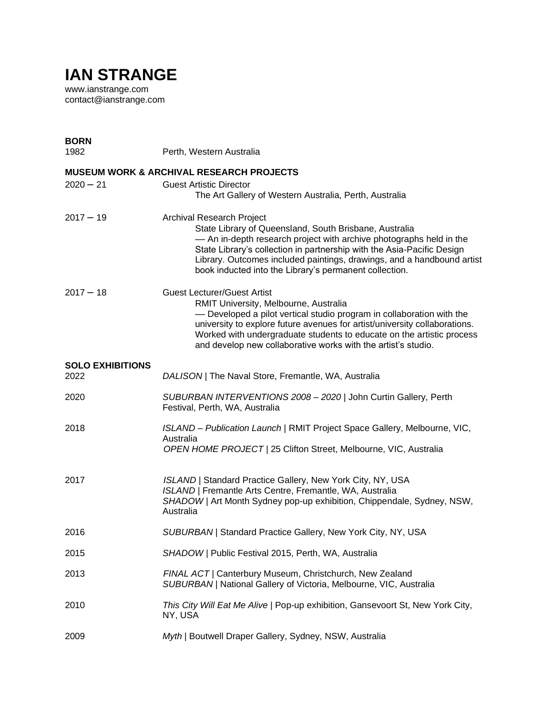## **IAN STRANGE**

www.ianstrange.com contact@ianstrange.com

| <b>BORN</b><br>1982             | Perth, Western Australia                                                                                                                                                                                                                                                                                                                                                     |
|---------------------------------|------------------------------------------------------------------------------------------------------------------------------------------------------------------------------------------------------------------------------------------------------------------------------------------------------------------------------------------------------------------------------|
|                                 | <b>MUSEUM WORK &amp; ARCHIVAL RESEARCH PROJECTS</b>                                                                                                                                                                                                                                                                                                                          |
| $2020 - 21$                     | <b>Guest Artistic Director</b><br>The Art Gallery of Western Australia, Perth, Australia                                                                                                                                                                                                                                                                                     |
| $2017 - 19$                     | Archival Research Project<br>State Library of Queensland, South Brisbane, Australia<br>- An in-depth research project with archive photographs held in the<br>State Library's collection in partnership with the Asia-Pacific Design<br>Library. Outcomes included paintings, drawings, and a handbound artist<br>book inducted into the Library's permanent collection.     |
| $2017 - 18$                     | <b>Guest Lecturer/Guest Artist</b><br>RMIT University, Melbourne, Australia<br>- Developed a pilot vertical studio program in collaboration with the<br>university to explore future avenues for artist/university collaborations.<br>Worked with undergraduate students to educate on the artistic process<br>and develop new collaborative works with the artist's studio. |
| <b>SOLO EXHIBITIONS</b><br>2022 | DALISON   The Naval Store, Fremantle, WA, Australia                                                                                                                                                                                                                                                                                                                          |
| 2020                            | SUBURBAN INTERVENTIONS 2008 - 2020   John Curtin Gallery, Perth<br>Festival, Perth, WA, Australia                                                                                                                                                                                                                                                                            |
| 2018                            | ISLAND - Publication Launch   RMIT Project Space Gallery, Melbourne, VIC,<br>Australia<br>OPEN HOME PROJECT   25 Clifton Street, Melbourne, VIC, Australia                                                                                                                                                                                                                   |
| 2017                            | ISLAND   Standard Practice Gallery, New York City, NY, USA<br>ISLAND   Fremantle Arts Centre, Fremantle, WA, Australia<br>SHADOW   Art Month Sydney pop-up exhibition, Chippendale, Sydney, NSW,<br>Australia                                                                                                                                                                |
| 2016                            | SUBURBAN   Standard Practice Gallery, New York City, NY, USA                                                                                                                                                                                                                                                                                                                 |
| 2015                            | SHADOW   Public Festival 2015, Perth, WA, Australia                                                                                                                                                                                                                                                                                                                          |
| 2013                            | FINAL ACT   Canterbury Museum, Christchurch, New Zealand<br>SUBURBAN   National Gallery of Victoria, Melbourne, VIC, Australia                                                                                                                                                                                                                                               |
| 2010                            | This City Will Eat Me Alive   Pop-up exhibition, Gansevoort St, New York City,<br>NY, USA                                                                                                                                                                                                                                                                                    |
| 2009                            | Myth   Boutwell Draper Gallery, Sydney, NSW, Australia                                                                                                                                                                                                                                                                                                                       |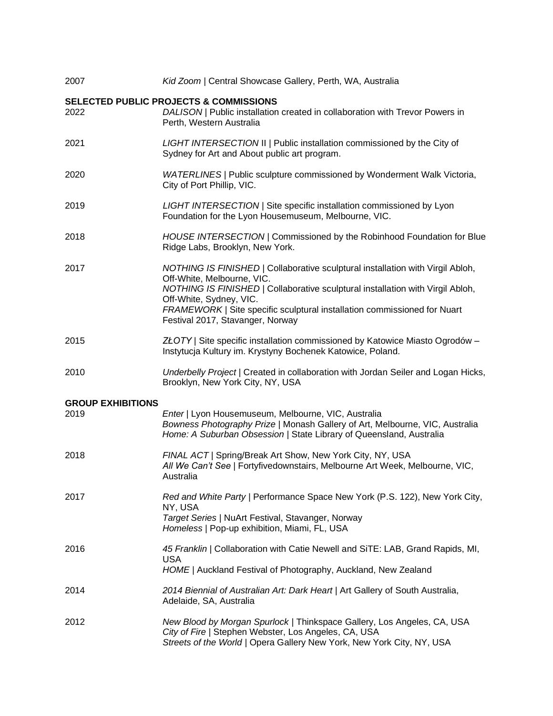| 2007                     | Kid Zoom   Central Showcase Gallery, Perth, WA, Australia                                                                                                                                                                                                                                                                                 |
|--------------------------|-------------------------------------------------------------------------------------------------------------------------------------------------------------------------------------------------------------------------------------------------------------------------------------------------------------------------------------------|
| 2022                     | <b>SELECTED PUBLIC PROJECTS &amp; COMMISSIONS</b><br>DALISON   Public installation created in collaboration with Trevor Powers in<br>Perth, Western Australia                                                                                                                                                                             |
| 2021                     | LIGHT INTERSECTION II   Public installation commissioned by the City of<br>Sydney for Art and About public art program.                                                                                                                                                                                                                   |
| 2020                     | WATERLINES   Public sculpture commissioned by Wonderment Walk Victoria,<br>City of Port Phillip, VIC.                                                                                                                                                                                                                                     |
| 2019                     | LIGHT INTERSECTION   Site specific installation commissioned by Lyon<br>Foundation for the Lyon Housemuseum, Melbourne, VIC.                                                                                                                                                                                                              |
| 2018                     | HOUSE INTERSECTION   Commissioned by the Robinhood Foundation for Blue<br>Ridge Labs, Brooklyn, New York.                                                                                                                                                                                                                                 |
| 2017                     | NOTHING IS FINISHED   Collaborative sculptural installation with Virgil Abloh,<br>Off-White, Melbourne, VIC.<br>NOTHING IS FINISHED   Collaborative sculptural installation with Virgil Abloh,<br>Off-White, Sydney, VIC.<br>FRAMEWORK   Site specific sculptural installation commissioned for Nuart<br>Festival 2017, Stavanger, Norway |
| 2015                     | ZŁOTY   Site specific installation commissioned by Katowice Miasto Ogrodów -<br>Instytucja Kultury im. Krystyny Bochenek Katowice, Poland.                                                                                                                                                                                                |
| 2010                     | Underbelly Project   Created in collaboration with Jordan Seiler and Logan Hicks,<br>Brooklyn, New York City, NY, USA                                                                                                                                                                                                                     |
| <b>GROUP EXHIBITIONS</b> |                                                                                                                                                                                                                                                                                                                                           |
| 2019                     | Enter   Lyon Housemuseum, Melbourne, VIC, Australia<br>Bowness Photography Prize   Monash Gallery of Art, Melbourne, VIC, Australia<br>Home: A Suburban Obsession   State Library of Queensland, Australia                                                                                                                                |
| 2018                     | FINAL ACT   Spring/Break Art Show, New York City, NY, USA<br>All We Can't See   Fortyfivedownstairs, Melbourne Art Week, Melbourne, VIC,<br>Australia                                                                                                                                                                                     |
| 2017                     | Red and White Party   Performance Space New York (P.S. 122), New York City,<br>NY, USA<br>Target Series   NuArt Festival, Stavanger, Norway<br>Homeless   Pop-up exhibition, Miami, FL, USA                                                                                                                                               |
| 2016                     | 45 Franklin   Collaboration with Catie Newell and SiTE: LAB, Grand Rapids, MI,<br><b>USA</b><br>HOME   Auckland Festival of Photography, Auckland, New Zealand                                                                                                                                                                            |
| 2014                     | 2014 Biennial of Australian Art: Dark Heart   Art Gallery of South Australia,<br>Adelaide, SA, Australia                                                                                                                                                                                                                                  |
| 2012                     | New Blood by Morgan Spurlock   Thinkspace Gallery, Los Angeles, CA, USA<br>City of Fire   Stephen Webster, Los Angeles, CA, USA<br>Streets of the World   Opera Gallery New York, New York City, NY, USA                                                                                                                                  |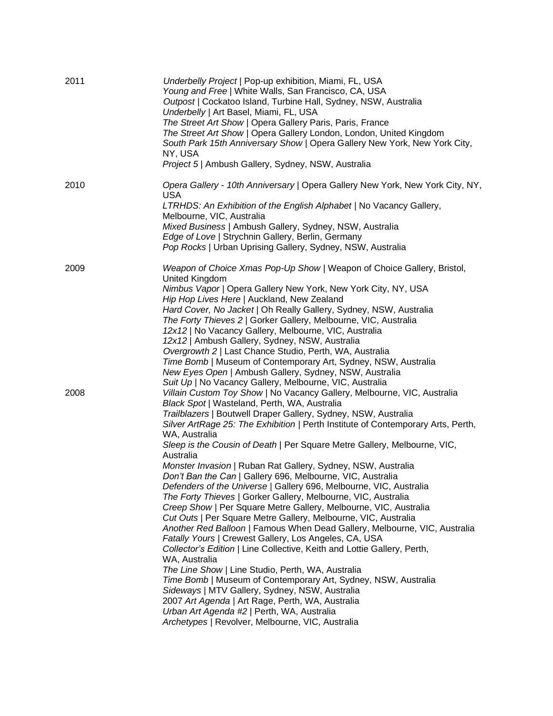| 2011 | Underbelly Project   Pop-up exhibition, Miami, FL, USA<br>Young and Free   White Walls, San Francisco, CA, USA<br>Outpost   Cockatoo Island, Turbine Hall, Sydney, NSW, Australia<br>Underbelly   Art Basel, Miami, FL, USA<br>The Street Art Show   Opera Gallery Paris, Paris, France<br>The Street Art Show   Opera Gallery London, London, United Kingdom<br>South Park 15th Anniversary Show   Opera Gallery New York, New York City,<br>NY, USA<br>Project 5   Ambush Gallery, Sydney, NSW, Australia                                                                                                                                                                                                                                                                                                                                                                                                                                                                                                                                                                                                                                                                                                                                                                                                                                                         |
|------|---------------------------------------------------------------------------------------------------------------------------------------------------------------------------------------------------------------------------------------------------------------------------------------------------------------------------------------------------------------------------------------------------------------------------------------------------------------------------------------------------------------------------------------------------------------------------------------------------------------------------------------------------------------------------------------------------------------------------------------------------------------------------------------------------------------------------------------------------------------------------------------------------------------------------------------------------------------------------------------------------------------------------------------------------------------------------------------------------------------------------------------------------------------------------------------------------------------------------------------------------------------------------------------------------------------------------------------------------------------------|
| 2010 | Opera Gallery - 10th Anniversary   Opera Gallery New York, New York City, NY,<br><b>USA</b><br>LTRHDS: An Exhibition of the English Alphabet   No Vacancy Gallery,<br>Melbourne, VIC, Australia<br>Mixed Business   Ambush Gallery, Sydney, NSW, Australia<br>Edge of Love   Strychnin Gallery, Berlin, Germany<br>Pop Rocks   Urban Uprising Gallery, Sydney, NSW, Australia                                                                                                                                                                                                                                                                                                                                                                                                                                                                                                                                                                                                                                                                                                                                                                                                                                                                                                                                                                                       |
| 2009 | Weapon of Choice Xmas Pop-Up Show   Weapon of Choice Gallery, Bristol,<br>United Kingdom<br>Nimbus Vapor   Opera Gallery New York, New York City, NY, USA<br>Hip Hop Lives Here   Auckland, New Zealand<br>Hard Cover, No Jacket   Oh Really Gallery, Sydney, NSW, Australia<br>The Forty Thieves 2   Gorker Gallery, Melbourne, VIC, Australia<br>12x12   No Vacancy Gallery, Melbourne, VIC, Australia<br>12x12   Ambush Gallery, Sydney, NSW, Australia<br>Overgrowth 2   Last Chance Studio, Perth, WA, Australia<br>Time Bomb   Museum of Contemporary Art, Sydney, NSW, Australia<br>New Eyes Open   Ambush Gallery, Sydney, NSW, Australia<br>Suit Up   No Vacancy Gallery, Melbourne, VIC, Australia                                                                                                                                                                                                                                                                                                                                                                                                                                                                                                                                                                                                                                                        |
| 2008 | Villain Custom Toy Show   No Vacancy Gallery, Melbourne, VIC, Australia<br>Black Spot   Wasteland, Perth, WA, Australia<br>Trailblazers   Boutwell Draper Gallery, Sydney, NSW, Australia<br>Silver ArtRage 25: The Exhibition   Perth Institute of Contemporary Arts, Perth,<br>WA, Australia<br>Sleep is the Cousin of Death   Per Square Metre Gallery, Melbourne, VIC,<br>Australia<br>Monster Invasion   Ruban Rat Gallery, Sydney, NSW, Australia<br>Don't Ban the Can   Gallery 696, Melbourne, VIC, Australia<br>Defenders of the Universe   Gallery 696, Melbourne, VIC, Australia<br>The Forty Thieves   Gorker Gallery, Melbourne, VIC, Australia<br>Creep Show   Per Square Metre Gallery, Melbourne, VIC, Australia<br>Cut Outs   Per Square Metre Gallery, Melbourne, VIC, Australia<br>Another Red Balloon   Famous When Dead Gallery, Melbourne, VIC, Australia<br>Fatally Yours   Crewest Gallery, Los Angeles, CA, USA<br>Collector's Edition   Line Collective, Keith and Lottie Gallery, Perth,<br>WA, Australia<br>The Line Show   Line Studio, Perth, WA, Australia<br>Time Bomb   Museum of Contemporary Art, Sydney, NSW, Australia<br>Sideways   MTV Gallery, Sydney, NSW, Australia<br>2007 Art Agenda   Art Rage, Perth, WA, Australia<br>Urban Art Agenda #2   Perth, WA, Australia<br>Archetypes   Revolver, Melbourne, VIC, Australia |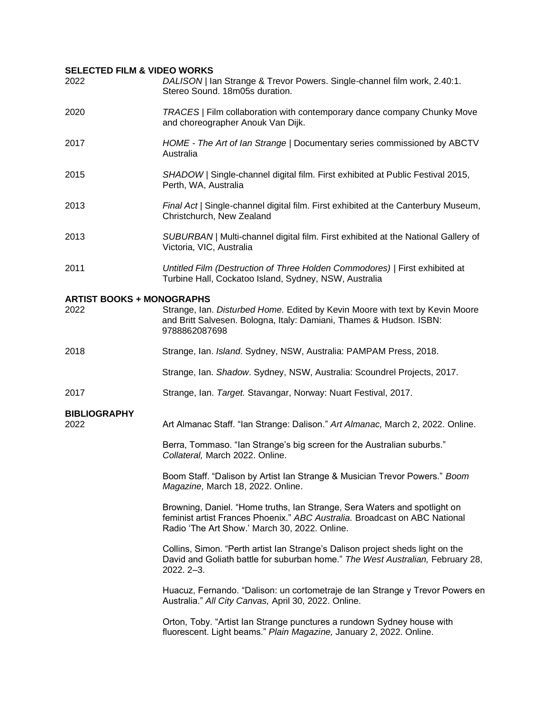## **SELECTED FILM & VIDEO WORKS**

| 2022                             | DALISON / Ian Strange & Trevor Powers. Single-channel film work, 2.40:1.<br>Stereo Sound. 18m05s duration.                                                                                               |
|----------------------------------|----------------------------------------------------------------------------------------------------------------------------------------------------------------------------------------------------------|
| 2020                             | TRACES   Film collaboration with contemporary dance company Chunky Move<br>and choreographer Anouk Van Dijk.                                                                                             |
| 2017                             | HOME - The Art of lan Strange   Documentary series commissioned by ABCTV<br>Australia                                                                                                                    |
| 2015                             | SHADOW   Single-channel digital film. First exhibited at Public Festival 2015,<br>Perth, WA, Australia                                                                                                   |
| 2013                             | Final Act   Single-channel digital film. First exhibited at the Canterbury Museum,<br>Christchurch, New Zealand                                                                                          |
| 2013                             | SUBURBAN   Multi-channel digital film. First exhibited at the National Gallery of<br>Victoria, VIC, Australia                                                                                            |
| 2011                             | Untitled Film (Destruction of Three Holden Commodores)   First exhibited at<br>Turbine Hall, Cockatoo Island, Sydney, NSW, Australia                                                                     |
| <b>ARTIST BOOKS + MONOGRAPHS</b> |                                                                                                                                                                                                          |
| 2022                             | Strange, Ian. Disturbed Home. Edited by Kevin Moore with text by Kevin Moore<br>and Britt Salvesen. Bologna, Italy: Damiani, Thames & Hudson. ISBN:<br>9788862087698                                     |
| 2018                             | Strange, Ian. Island. Sydney, NSW, Australia: PAMPAM Press, 2018.                                                                                                                                        |
|                                  | Strange, Ian. Shadow. Sydney, NSW, Australia: Scoundrel Projects, 2017.                                                                                                                                  |
| 2017                             | Strange, Ian. Target. Stavangar, Norway: Nuart Festival, 2017.                                                                                                                                           |
| <b>BIBLIOGRAPHY</b>              |                                                                                                                                                                                                          |
| 2022                             | Art Almanac Staff. "Ian Strange: Dalison." Art Almanac, March 2, 2022. Online.                                                                                                                           |
|                                  | Berra, Tommaso. "Ian Strange's big screen for the Australian suburbs."<br>Collateral, March 2022. Online.                                                                                                |
|                                  | Boom Staff. "Dalison by Artist Ian Strange & Musician Trevor Powers." Boom<br>Magazine, March 18, 2022. Online.                                                                                          |
|                                  | Browning, Daniel. "Home truths, Ian Strange, Sera Waters and spotlight on<br>feminist artist Frances Phoenix." ABC Australia. Broadcast on ABC National<br>Radio 'The Art Show.' March 30, 2022. Online. |
|                                  | Collins, Simon. "Perth artist lan Strange's Dalison project sheds light on the<br>David and Goliath battle for suburban home." The West Australian, February 28,<br>2022. 2-3.                           |
|                                  | Huacuz, Fernando. "Dalison: un cortometraje de Ian Strange y Trevor Powers en<br>Australia." All City Canvas, April 30, 2022. Online.                                                                    |
|                                  | Orton, Toby. "Artist Ian Strange punctures a rundown Sydney house with<br>fluorescent. Light beams." Plain Magazine, January 2, 2022. Online.                                                            |
|                                  |                                                                                                                                                                                                          |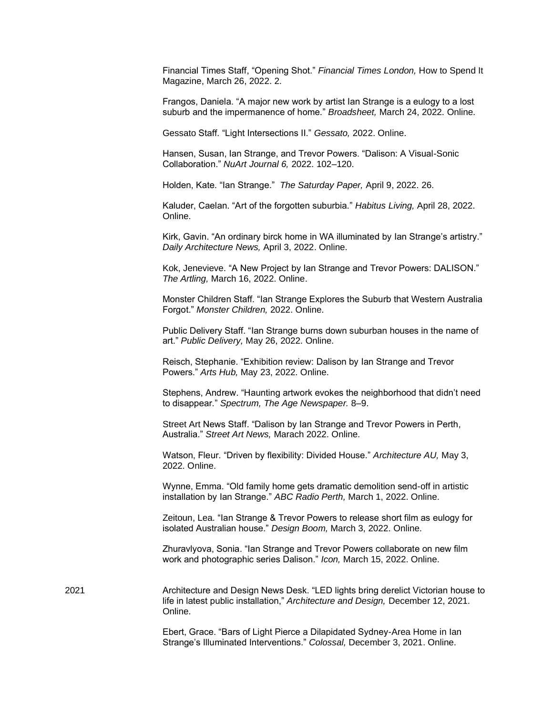Financial Times Staff, "Opening Shot." *Financial Times London,* How to Spend It Magazine, March 26, 2022. 2.

Frangos, Daniela. "A major new work by artist Ian Strange is a eulogy to a lost suburb and the impermanence of home." *Broadsheet,* March 24, 2022. Online.

Gessato Staff. "Light Intersections II." *Gessato,* 2022. Online.

Hansen, Susan, Ian Strange, and Trevor Powers. "Dalison: A Visual-Sonic Collaboration." *NuArt Journal 6,* 2022. 102–120.

Holden, Kate. "Ian Strange." *The Saturday Paper,* April 9, 2022. 26.

Kaluder, Caelan. "Art of the forgotten suburbia." *Habitus Living,* April 28, 2022. Online.

Kirk, Gavin. "An ordinary birck home in WA illuminated by Ian Strange's artistry." *Daily Architecture News,* April 3, 2022. Online.

Kok, Jenevieve. "A New Project by Ian Strange and Trevor Powers: DALISON." *The Artling,* March 16, 2022. Online.

Monster Children Staff. "Ian Strange Explores the Suburb that Western Australia Forgot." *Monster Children,* 2022. Online.

Public Delivery Staff. "Ian Strange burns down suburban houses in the name of art." *Public Delivery,* May 26, 2022. Online.

Reisch, Stephanie. "Exhibition review: Dalison by Ian Strange and Trevor Powers." *Arts Hub,* May 23, 2022. Online.

Stephens, Andrew. "Haunting artwork evokes the neighborhood that didn't need to disappear." *Spectrum, The Age Newspaper.* 8–9.

Street Art News Staff. "Dalison by Ian Strange and Trevor Powers in Perth, Australia." *Street Art News,* Marach 2022. Online.

Watson, Fleur. "Driven by flexibility: Divided House." *Architecture AU,* May 3, 2022. Online.

Wynne, Emma. "Old family home gets dramatic demolition send-off in artistic installation by Ian Strange." *ABC Radio Perth,* March 1, 2022. Online.

Zeitoun, Lea. "Ian Strange & Trevor Powers to release short film as eulogy for isolated Australian house." *Design Boom,* March 3, 2022. Online.

Zhuravlyova, Sonia. "Ian Strange and Trevor Powers collaborate on new film work and photographic series Dalison." *Icon,* March 15, 2022. Online.

2021 Architecture and Design News Desk. "LED lights bring derelict Victorian house to life in latest public installation," *Architecture and Design,* December 12, 2021. Online.

> Ebert, Grace. "Bars of Light Pierce a Dilapidated Sydney-Area Home in Ian Strange's Illuminated Interventions." *Colossal,* December 3, 2021. Online.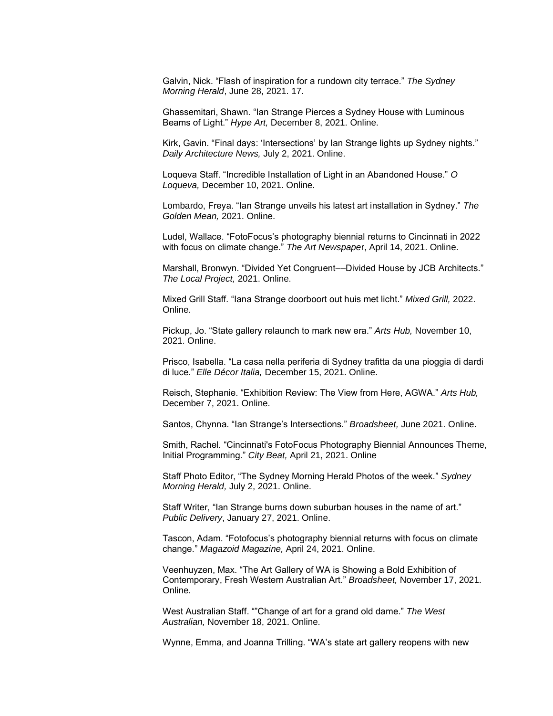Galvin, Nick. "Flash of inspiration for a rundown city terrace." *The Sydney Morning Herald*, June 28, 2021. 17.

Ghassemitari, Shawn. "Ian Strange Pierces a Sydney House with Luminous Beams of Light." *Hype Art,* December 8, 2021. Online.

Kirk, Gavin. "Final days: 'Intersections' by Ian Strange lights up Sydney nights." *Daily Architecture News,* July 2, 2021. Online.

Loqueva Staff. "Incredible Installation of Light in an Abandoned House." *O Loqueva,* December 10, 2021. Online.

Lombardo, Freya. "Ian Strange unveils his latest art installation in Sydney." *The Golden Mean,* 2021. Online.

Ludel, Wallace. "FotoFocus's photography biennial returns to Cincinnati in 2022 with focus on climate change." *The Art Newspape*r, April 14, 2021. Online.

Marshall, Bronwyn. "Divided Yet Congruent––Divided House by JCB Architects." *The Local Project,* 2021. Online.

Mixed Grill Staff. "Iana Strange doorboort out huis met licht." *Mixed Grill,* 2022. Online.

Pickup, Jo. "State gallery relaunch to mark new era." *Arts Hub,* November 10, 2021. Online.

Prisco, Isabella. "La casa nella periferia di Sydney trafitta da una pioggia di dardi di luce." *Elle Décor Italia,* December 15, 2021. Online.

Reisch, Stephanie. "Exhibition Review: The View from Here, AGWA." *Arts Hub,*  December 7, 2021. Online.

Santos, Chynna. "Ian Strange's Intersections." *Broadsheet,* June 2021. Online.

Smith, Rachel. "Cincinnati's FotoFocus Photography Biennial Announces Theme, Initial Programming." *City Beat,* April 21, 2021. Online

Staff Photo Editor, "The Sydney Morning Herald Photos of the week." *Sydney Morning Herald,* July 2, 2021. Online.

Staff Writer, "Ian Strange burns down suburban houses in the name of art." *Public Delivery*, January 27, 2021. Online.

Tascon, Adam. "Fotofocus's photography biennial returns with focus on climate change." *Magazoid Magazine,* April 24, 2021. Online.

Veenhuyzen, Max. "The Art Gallery of WA is Showing a Bold Exhibition of Contemporary, Fresh Western Australian Art." *Broadsheet,* November 17, 2021. Online.

West Australian Staff. ""Change of art for a grand old dame." *The West Australian,* November 18, 2021. Online.

Wynne, Emma, and Joanna Trilling. "WA's state art gallery reopens with new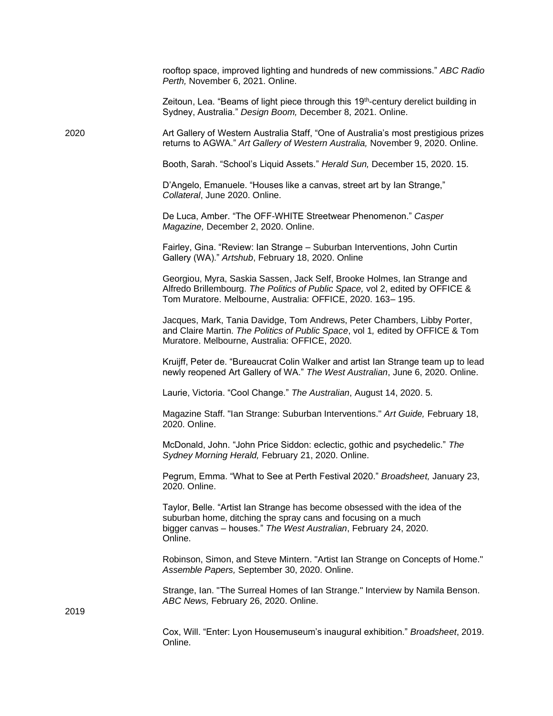|      | rooftop space, improved lighting and hundreds of new commissions." ABC Radio<br>Perth, November 6, 2021. Online.                                                                                                            |
|------|-----------------------------------------------------------------------------------------------------------------------------------------------------------------------------------------------------------------------------|
|      | Zeitoun, Lea. "Beams of light piece through this 19 <sup>th</sup> -century derelict building in<br>Sydney, Australia." Design Boom, December 8, 2021. Online.                                                               |
| 2020 | Art Gallery of Western Australia Staff, "One of Australia's most prestigious prizes<br>returns to AGWA." Art Gallery of Western Australia, November 9, 2020. Online.                                                        |
|      | Booth, Sarah. "School's Liquid Assets." Herald Sun, December 15, 2020. 15.                                                                                                                                                  |
|      | D'Angelo, Emanuele. "Houses like a canvas, street art by Ian Strange,"<br>Collateral, June 2020. Online.                                                                                                                    |
|      | De Luca, Amber. "The OFF-WHITE Streetwear Phenomenon." Casper<br>Magazine, December 2, 2020. Online.                                                                                                                        |
|      | Fairley, Gina. "Review: Ian Strange – Suburban Interventions, John Curtin<br>Gallery (WA)." Artshub, February 18, 2020. Online                                                                                              |
|      | Georgiou, Myra, Saskia Sassen, Jack Self, Brooke Holmes, Ian Strange and<br>Alfredo Brillembourg. The Politics of Public Space, vol 2, edited by OFFICE &<br>Tom Muratore. Melbourne, Australia: OFFICE, 2020. 163-195.     |
|      | Jacques, Mark, Tania Davidge, Tom Andrews, Peter Chambers, Libby Porter,<br>and Claire Martin. The Politics of Public Space, vol 1, edited by OFFICE & Tom<br>Muratore. Melbourne, Australia: OFFICE, 2020.                 |
|      | Kruijff, Peter de. "Bureaucrat Colin Walker and artist Ian Strange team up to lead<br>newly reopened Art Gallery of WA." The West Australian, June 6, 2020. Online.                                                         |
|      | Laurie, Victoria. "Cool Change." The Australian, August 14, 2020. 5.                                                                                                                                                        |
|      | Magazine Staff. "Ian Strange: Suburban Interventions." Art Guide, February 18,<br>2020. Online.                                                                                                                             |
|      | McDonald, John. "John Price Siddon: eclectic, gothic and psychedelic." The<br>Sydney Morning Herald, February 21, 2020. Online.                                                                                             |
|      | Pegrum, Emma. "What to See at Perth Festival 2020." Broadsheet, January 23,<br>2020. Online.                                                                                                                                |
|      | Taylor, Belle. "Artist lan Strange has become obsessed with the idea of the<br>suburban home, ditching the spray cans and focusing on a much<br>bigger canvas - houses." The West Australian, February 24, 2020.<br>Online. |
|      | Robinson, Simon, and Steve Mintern. "Artist lan Strange on Concepts of Home."<br>Assemble Papers, September 30, 2020. Online.                                                                                               |
| 2019 | Strange, Ian. "The Surreal Homes of Ian Strange." Interview by Namila Benson.<br>ABC News, February 26, 2020. Online.                                                                                                       |
|      | Cox, Will. "Enter: Lyon Housemuseum's inaugural exhibition." Broadsheet, 2019.<br>Online.                                                                                                                                   |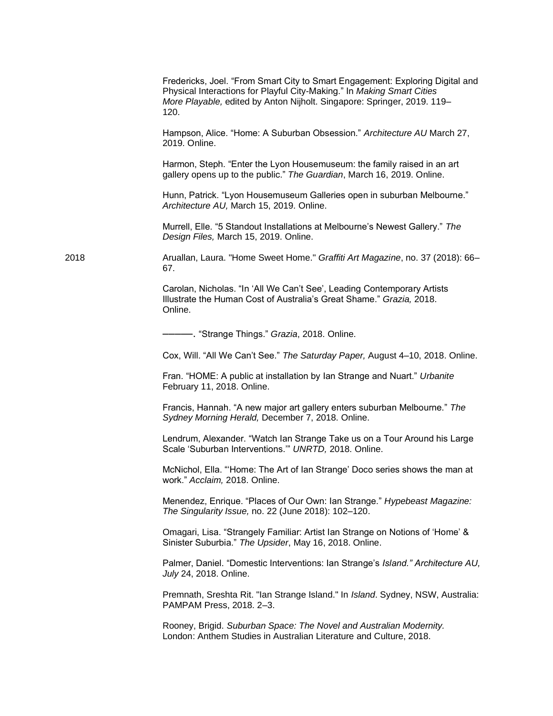|      | Fredericks, Joel. "From Smart City to Smart Engagement: Exploring Digital and<br>Physical Interactions for Playful City-Making." In Making Smart Cities<br>More Playable, edited by Anton Nijholt. Singapore: Springer, 2019. 119-<br>120. |
|------|--------------------------------------------------------------------------------------------------------------------------------------------------------------------------------------------------------------------------------------------|
|      | Hampson, Alice. "Home: A Suburban Obsession." Architecture AU March 27,<br>2019. Online.                                                                                                                                                   |
|      | Harmon, Steph. "Enter the Lyon Housemuseum: the family raised in an art<br>gallery opens up to the public." The Guardian, March 16, 2019. Online.                                                                                          |
|      | Hunn, Patrick. "Lyon Housemuseum Galleries open in suburban Melbourne."<br>Architecture AU, March 15, 2019. Online.                                                                                                                        |
|      | Murrell, Elle. "5 Standout Installations at Melbourne's Newest Gallery." The<br>Design Files, March 15, 2019. Online.                                                                                                                      |
| 2018 | Aruallan, Laura. "Home Sweet Home." Graffiti Art Magazine, no. 37 (2018): 66-<br>67.                                                                                                                                                       |
|      | Carolan, Nicholas. "In 'All We Can't See', Leading Contemporary Artists<br>Illustrate the Human Cost of Australia's Great Shame." Grazia, 2018.<br>Online.                                                                                 |
|      | ------ "Strange Things." Grazia, 2018. Online.                                                                                                                                                                                             |
|      | Cox, Will. "All We Can't See." The Saturday Paper, August 4-10, 2018. Online.                                                                                                                                                              |
|      | Fran. "HOME: A public at installation by Ian Strange and Nuart." Urbanite<br>February 11, 2018. Online.                                                                                                                                    |
|      | Francis, Hannah. "A new major art gallery enters suburban Melbourne." The<br>Sydney Morning Herald, December 7, 2018. Online.                                                                                                              |
|      | Lendrum, Alexander. "Watch Ian Strange Take us on a Tour Around his Large<br>Scale 'Suburban Interventions." UNRTD, 2018. Online.                                                                                                          |
|      | McNichol, Ella. "Home: The Art of Ian Strange' Doco series shows the man at<br>work." Acclaim, 2018. Online.                                                                                                                               |
|      | Menendez, Enrique. "Places of Our Own: Ian Strange." Hypebeast Magazine:<br>The Singularity Issue, no. 22 (June 2018): 102-120.                                                                                                            |
|      | Omagari, Lisa. "Strangely Familiar: Artist Ian Strange on Notions of 'Home' &<br>Sinister Suburbia." The Upsider, May 16, 2018. Online.                                                                                                    |
|      | Palmer, Daniel. "Domestic Interventions: Ian Strange's Island." Architecture AU,<br>July 24, 2018. Online.                                                                                                                                 |
|      | Premnath, Sreshta Rit. "Ian Strange Island." In Island. Sydney, NSW, Australia:<br>PAMPAM Press, 2018. 2-3.                                                                                                                                |
|      | Rooney, Brigid. Suburban Space: The Novel and Australian Modernity.<br>London: Anthem Studies in Australian Literature and Culture, 2018.                                                                                                  |
|      |                                                                                                                                                                                                                                            |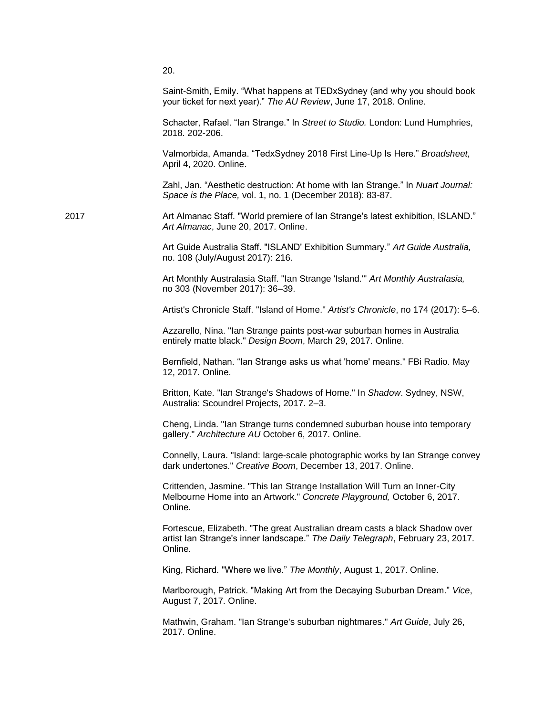|      | 20.                                                                                                                                                                      |
|------|--------------------------------------------------------------------------------------------------------------------------------------------------------------------------|
|      | Saint-Smith, Emily. "What happens at TEDxSydney (and why you should book<br>your ticket for next year)." The AU Review, June 17, 2018. Online.                           |
|      | Schacter, Rafael. "Ian Strange." In Street to Studio. London: Lund Humphries,<br>2018. 202-206.                                                                          |
|      | Valmorbida, Amanda. "TedxSydney 2018 First Line-Up Is Here." Broadsheet,<br>April 4, 2020. Online.                                                                       |
|      | Zahl, Jan. "Aesthetic destruction: At home with Ian Strange." In Nuart Journal:<br>Space is the Place, vol. 1, no. 1 (December 2018): 83-87.                             |
| 2017 | Art Almanac Staff. "World premiere of lan Strange's latest exhibition, ISLAND."<br>Art Almanac, June 20, 2017. Online.                                                   |
|      | Art Guide Australia Staff. "ISLAND' Exhibition Summary." Art Guide Australia,<br>no. 108 (July/August 2017): 216.                                                        |
|      | Art Monthly Australasia Staff. "Ian Strange 'Island." Art Monthly Australasia,<br>no 303 (November 2017): 36-39.                                                         |
|      | Artist's Chronicle Staff. "Island of Home." Artist's Chronicle, no 174 (2017): 5-6.                                                                                      |
|      | Azzarello, Nina. "Ian Strange paints post-war suburban homes in Australia<br>entirely matte black." Design Boom, March 29, 2017. Online.                                 |
|      | Bernfield, Nathan. "Ian Strange asks us what 'home' means." FBi Radio. May<br>12, 2017. Online.                                                                          |
|      | Britton, Kate. "Ian Strange's Shadows of Home." In Shadow. Sydney, NSW,<br>Australia: Scoundrel Projects, 2017. 2-3.                                                     |
|      | Cheng, Linda. "Ian Strange turns condemned suburban house into temporary<br>gallery." Architecture AU October 6, 2017. Online.                                           |
|      | Connelly, Laura. "Island: large-scale photographic works by lan Strange convey<br>dark undertones." Creative Boom, December 13, 2017. Online.                            |
|      | Crittenden, Jasmine. "This Ian Strange Installation Will Turn an Inner-City<br>Melbourne Home into an Artwork." Concrete Playground, October 6, 2017.<br>Online.         |
|      | Fortescue, Elizabeth. "The great Australian dream casts a black Shadow over<br>artist Ian Strange's inner landscape." The Daily Telegraph, February 23, 2017.<br>Online. |
|      | King, Richard. "Where we live." The Monthly, August 1, 2017. Online.                                                                                                     |
|      | Marlborough, Patrick. "Making Art from the Decaying Suburban Dream." Vice,<br>August 7, 2017. Online.                                                                    |
|      | Mathwin, Graham. "Ian Strange's suburban nightmares." Art Guide, July 26,<br>2017. Online.                                                                               |
|      |                                                                                                                                                                          |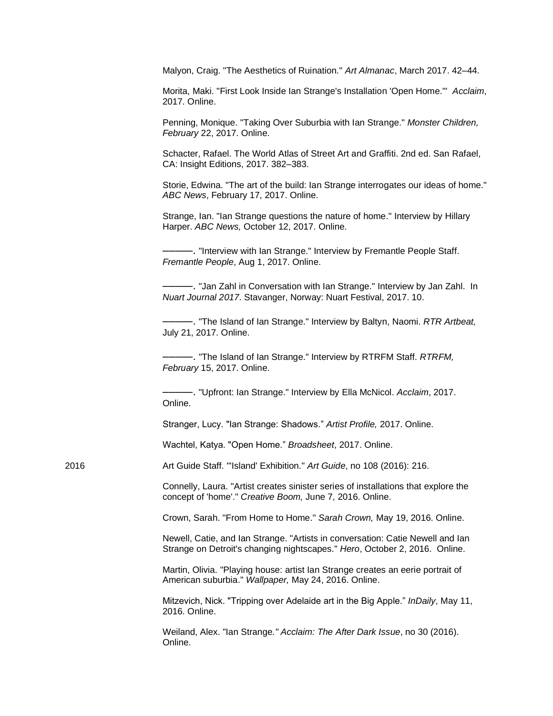Malyon, Craig. "The Aesthetics of Ruination." *Art Almanac*, March 2017. 42–44.

Morita, Maki. "First Look Inside Ian Strange's Installation 'Open Home.'" *Acclaim*, 2017. Online.

Penning, Monique. "Taking Over Suburbia with Ian Strange." *Monster Children, February* 22, 2017. Online.

Schacter, Rafael. The World Atlas of Street Art and Graffiti. 2nd ed. San Rafael, CA: Insight Editions, 2017. 382–383.

Storie, Edwina. "The art of the build: Ian Strange interrogates our ideas of home." *ABC News*, February 17, 2017. Online.

Strange, Ian. "Ian Strange questions the nature of home." Interview by Hillary Harper. *ABC News,* October 12, 2017. Online.

–––––. "Interview with Ian Strange." Interview by Fremantle People Staff. *Fremantle People*, Aug 1, 2017. Online.

–––––. "Jan Zahl in Conversation with Ian Strange." Interview by Jan Zahl. In *Nuart Journal 2017*. Stavanger, Norway: Nuart Festival, 2017. 10.

–––––. "The Island of Ian Strange." Interview by Baltyn, Naomi. *RTR Artbeat,*  July 21, 2017. Online.

–––––. "The Island of Ian Strange." Interview by RTRFM Staff. *RTRFM, February* 15, 2017. Online.

–––––. "Upfront: Ian Strange." Interview by Ella McNicol. *Acclaim*, 2017. Online.

Stranger, Lucy. "Ian Strange: Shadows." *Artist Profile,* 2017. Online.

Wachtel, Katya. "Open Home." *Broadsheet*, 2017. Online.

2016 Art Guide Staff. "'Island' Exhibition." *Art Guide*, no 108 (2016): 216.

Connelly, Laura. "Artist creates sinister series of installations that explore the concept of 'home'." *Creative Boom,* June 7, 2016. Online.

Crown, Sarah. "From Home to Home." *Sarah Crown,* May 19, 2016. Online.

Newell, Catie, and Ian Strange. "Artists in conversation: Catie Newell and Ian Strange on Detroit's changing nightscapes." *Hero*, October 2, 2016. Online.

Martin, Olivia. "Playing house: artist Ian Strange creates an eerie portrait of American suburbia." *Wallpaper,* May 24, 2016. Online.

Mitzevich, Nick. "Tripping over Adelaide art in the Big Apple." *InDaily*, May 11, 2016. Online.

Weiland, Alex. "Ian Strange*." Acclaim: The After Dark Issue*, no 30 (2016). Online.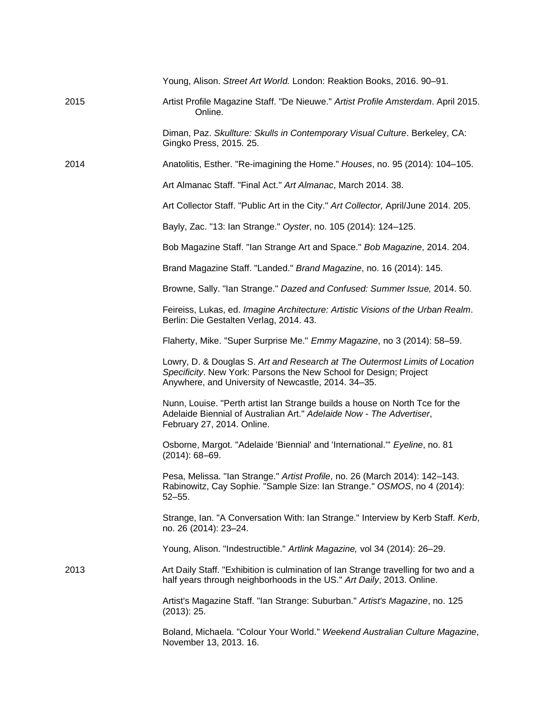|      | Young, Alison. Street Art World. London: Reaktion Books, 2016. 90-91.                                                                                                                                   |
|------|---------------------------------------------------------------------------------------------------------------------------------------------------------------------------------------------------------|
| 2015 | Artist Profile Magazine Staff. "De Nieuwe." Artist Profile Amsterdam. April 2015.<br>Online.                                                                                                            |
|      | Diman, Paz. Skullture: Skulls in Contemporary Visual Culture. Berkeley, CA:<br>Gingko Press, 2015. 25.                                                                                                  |
| 2014 | Anatolitis, Esther. "Re-imagining the Home." Houses, no. 95 (2014): 104–105.                                                                                                                            |
|      | Art Almanac Staff. "Final Act." Art Almanac, March 2014. 38.                                                                                                                                            |
|      | Art Collector Staff. "Public Art in the City." Art Collector, April/June 2014. 205.                                                                                                                     |
|      | Bayly, Zac. "13: Ian Strange." Oyster, no. 105 (2014): 124-125.                                                                                                                                         |
|      | Bob Magazine Staff. "Ian Strange Art and Space." Bob Magazine, 2014. 204.                                                                                                                               |
|      | Brand Magazine Staff. "Landed." Brand Magazine, no. 16 (2014): 145.                                                                                                                                     |
|      | Browne, Sally. "Ian Strange." Dazed and Confused: Summer Issue, 2014. 50.                                                                                                                               |
|      | Feireiss, Lukas, ed. Imagine Architecture: Artistic Visions of the Urban Realm.<br>Berlin: Die Gestalten Verlag, 2014. 43.                                                                              |
|      | Flaherty, Mike. "Super Surprise Me." Emmy Magazine, no 3 (2014): 58–59.                                                                                                                                 |
|      | Lowry, D. & Douglas S. Art and Research at The Outermost Limits of Location<br>Specificity. New York: Parsons the New School for Design; Project<br>Anywhere, and University of Newcastle, 2014. 34-35. |
|      | Nunn, Louise. "Perth artist lan Strange builds a house on North Tce for the<br>Adelaide Biennial of Australian Art." Adelaide Now - The Advertiser,<br>February 27, 2014. Online.                       |
|      | Osborne, Margot. "Adelaide 'Biennial' and 'International." Eyeline, no. 81<br>$(2014): 68 - 69.$                                                                                                        |
|      | Pesa, Melissa. "Ian Strange." Artist Profile, no. 26 (March 2014): 142-143.<br>Rabinowitz, Cay Sophie. "Sample Size: Ian Strange." OSMOS, no 4 (2014):<br>$52 - 55.$                                    |
|      | Strange, Ian. "A Conversation With: Ian Strange." Interview by Kerb Staff. Kerb,<br>no. 26 (2014): 23-24.                                                                                               |
|      | Young, Alison. "Indestructible." Artlink Magazine, vol 34 (2014): 26-29.                                                                                                                                |
| 2013 | Art Daily Staff. "Exhibition is culmination of Ian Strange travelling for two and a<br>half years through neighborhoods in the US." Art Daily, 2013. Online.                                            |
|      | Artist's Magazine Staff. "Ian Strange: Suburban." Artist's Magazine, no. 125<br>(2013): 25.                                                                                                             |
|      | Boland, Michaela. "Colour Your World." Weekend Australian Culture Magazine,<br>November 13, 2013. 16.                                                                                                   |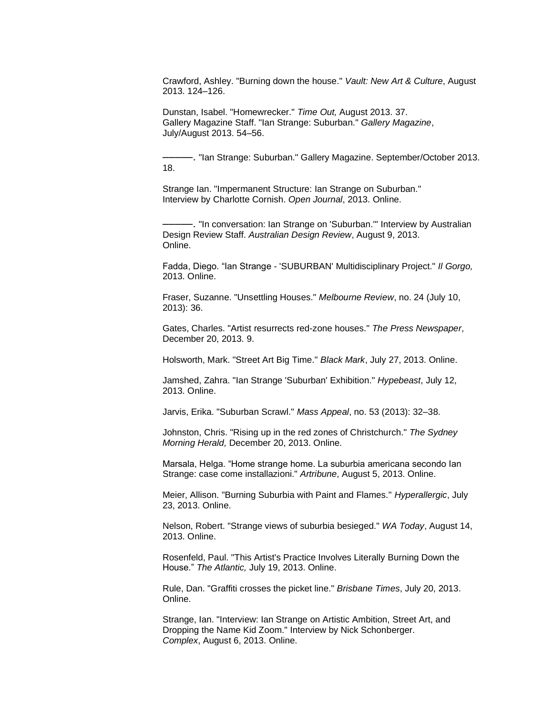Crawford, Ashley. "Burning down the house." *Vault: New Art & Culture*, August 2013. 124–126.

Dunstan, Isabel. "Homewrecker." *Time Out,* August 2013. 37. Gallery Magazine Staff. "Ian Strange: Suburban." *Gallery Magazine*, July/August 2013. 54–56.

–––––. "Ian Strange: Suburban." Gallery Magazine. September/October 2013. 18.

Strange Ian. "Impermanent Structure: Ian Strange on Suburban." Interview by Charlotte Cornish. *Open Journal*, 2013. Online.

–––––. "In conversation: Ian Strange on 'Suburban.'" Interview by Australian Design Review Staff. *Australian Design Review*, August 9, 2013. Online.

Fadda, Diego. "Ian Strange - 'SUBURBAN' Multidisciplinary Project." *Il Gorgo,*  2013. Online.

Fraser, Suzanne. "Unsettling Houses." *Melbourne Review*, no. 24 (July 10, 2013): 36.

Gates, Charles. "Artist resurrects red-zone houses." *The Press Newspaper*, December 20, 2013. 9.

Holsworth, Mark. "Street Art Big Time." *Black Mark*, July 27, 2013. Online.

Jamshed, Zahra. "Ian Strange 'Suburban' Exhibition." *Hypebeast*, July 12, 2013. Online.

Jarvis, Erika. "Suburban Scrawl." *Mass Appeal*, no. 53 (2013): 32–38.

Johnston, Chris. "Rising up in the red zones of Christchurch." *The Sydney Morning Herald,* December 20, 2013. Online.

Marsala, Helga. "Home strange home. La suburbia americana secondo Ian Strange: case come installazioni." *Artribune*, August 5, 2013. Online.

Meier, Allison. "Burning Suburbia with Paint and Flames." *Hyperallergic*, July 23, 2013. Online.

Nelson, Robert. "Strange views of suburbia besieged." *WA Today*, August 14, 2013. Online.

Rosenfeld, Paul. "This Artist's Practice Involves Literally Burning Down the House." *The Atlantic,* July 19, 2013. Online.

Rule, Dan. "Graffiti crosses the picket line." *Brisbane Times*, July 20, 2013. Online.

Strange, Ian. "Interview: Ian Strange on Artistic Ambition, Street Art, and Dropping the Name Kid Zoom." Interview by Nick Schonberger. *Complex*, August 6, 2013. Online.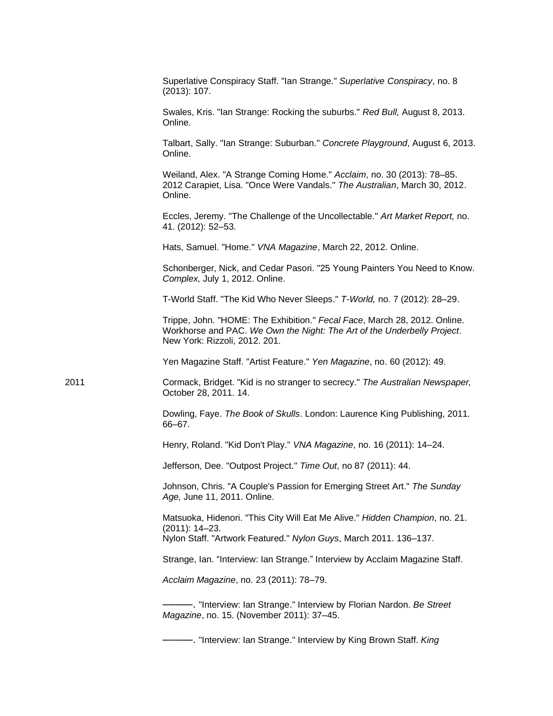|      | Superlative Conspiracy Staff. "Ian Strange." Superlative Conspiracy, no. 8<br>(2013): 107.                                                                                            |
|------|---------------------------------------------------------------------------------------------------------------------------------------------------------------------------------------|
|      | Swales, Kris. "Ian Strange: Rocking the suburbs." Red Bull, August 8, 2013.<br>Online.                                                                                                |
|      | Talbart, Sally. "Ian Strange: Suburban." Concrete Playground, August 6, 2013.<br>Online.                                                                                              |
|      | Weiland, Alex. "A Strange Coming Home." Acclaim, no. 30 (2013): 78-85.<br>2012 Carapiet, Lisa. "Once Were Vandals." The Australian, March 30, 2012.<br>Online.                        |
|      | Eccles, Jeremy. "The Challenge of the Uncollectable." Art Market Report, no.<br>41. (2012): 52-53.                                                                                    |
|      | Hats, Samuel. "Home." VNA Magazine, March 22, 2012. Online.                                                                                                                           |
|      | Schonberger, Nick, and Cedar Pasori. "25 Young Painters You Need to Know.<br>Complex, July 1, 2012. Online.                                                                           |
|      | T-World Staff. "The Kid Who Never Sleeps." T-World, no. 7 (2012): 28-29.                                                                                                              |
|      | Trippe, John. "HOME: The Exhibition." Fecal Face, March 28, 2012. Online.<br>Workhorse and PAC. We Own the Night: The Art of the Underbelly Project.<br>New York: Rizzoli, 2012. 201. |
|      | Yen Magazine Staff. "Artist Feature." Yen Magazine, no. 60 (2012): 49.                                                                                                                |
| 2011 | Cormack, Bridget. "Kid is no stranger to secrecy." The Australian Newspaper,<br>October 28, 2011. 14.                                                                                 |
|      | Dowling, Faye. The Book of Skulls. London: Laurence King Publishing, 2011.<br>66-67.                                                                                                  |
|      | Henry, Roland. "Kid Don't Play." VNA Magazine, no. 16 (2011): 14-24.                                                                                                                  |
|      | Jefferson, Dee. "Outpost Project." Time Out, no 87 (2011): 44.                                                                                                                        |
|      | Johnson, Chris. "A Couple's Passion for Emerging Street Art." The Sunday<br>Age, June 11, 2011. Online.                                                                               |
|      | Matsuoka, Hidenori. "This City Will Eat Me Alive." Hidden Champion, no. 21.<br>$(2011): 14 - 23.$<br>Nylon Staff. "Artwork Featured." Nylon Guys, March 2011. 136-137.                |
|      | Strange, Ian. "Interview: Ian Strange." Interview by Acclaim Magazine Staff.                                                                                                          |
|      | Acclaim Magazine, no. 23 (2011): 78-79.                                                                                                                                               |
|      | - "Interview: lan Strange." Interview by Florian Nardon. Be Street<br>Magazine, no. 15. (November 2011): 37-45.                                                                       |
|      |                                                                                                                                                                                       |

–––––. "Interview: Ian Strange." Interview by King Brown Staff. *King*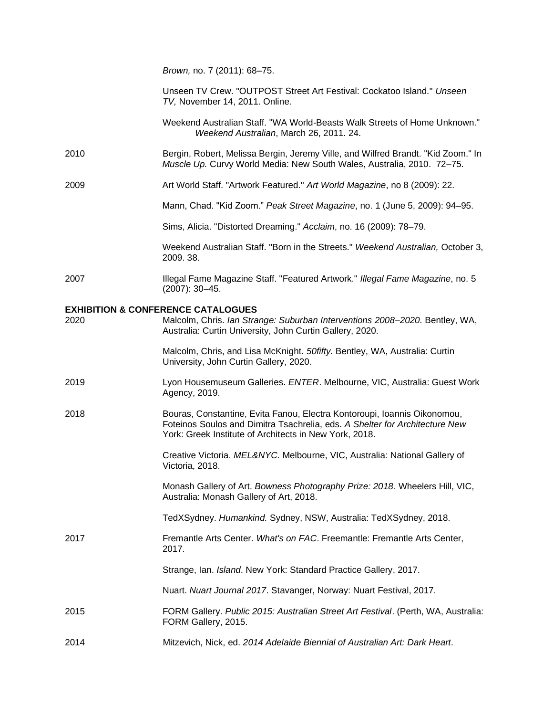*Brown,* no. 7 (2011): 68–75.

| Unseen TV Crew. "OUTPOST Street Art Festival: Cockatoo Island." Unseen |  |
|------------------------------------------------------------------------|--|
| TV, November 14, 2011. Online.                                         |  |

- Weekend Australian Staff. "WA World-Beasts Walk Streets of Home Unknown." *Weekend Australian*, March 26, 2011. 24.
- 2010 Bergin, Robert, Melissa Bergin, Jeremy Ville, and Wilfred Brandt. "Kid Zoom." In *Muscle Up.* Curvy World Media: New South Wales, Australia, 2010. 72–75.
- 2009 Art World Staff. "Artwork Featured." *Art World Magazine*, no 8 (2009): 22.
	- Mann, Chad. "Kid Zoom." *Peak Street Magazine*, no. 1 (June 5, 2009): 94–95.

Sims, Alicia. "Distorted Dreaming." *Acclaim*, no. 16 (2009): 78–79.

Weekend Australian Staff. "Born in the Streets." *Weekend Australian,* October 3, 2009. 38.

2007 Illegal Fame Magazine Staff. "Featured Artwork." *Illegal Fame Magazine*, no. 5 (2007): 30–45.

## **EXHIBITION & CONFERENCE CATALOGUES**

| 2020 | Malcolm, Chris. Ian Strange: Suburban Interventions 2008-2020. Bentley, WA,<br>Australia: Curtin University, John Curtin Gallery, 2020.                                                                           |
|------|-------------------------------------------------------------------------------------------------------------------------------------------------------------------------------------------------------------------|
|      | Malcolm, Chris, and Lisa McKnight. 50fifty. Bentley, WA, Australia: Curtin<br>University, John Curtin Gallery, 2020.                                                                                              |
| 2019 | Lyon Housemuseum Galleries. ENTER. Melbourne, VIC, Australia: Guest Work<br>Agency, 2019.                                                                                                                         |
| 2018 | Bouras, Constantine, Evita Fanou, Electra Kontoroupi, Ioannis Oikonomou,<br>Foteinos Soulos and Dimitra Tsachrelia, eds. A Shelter for Architecture New<br>York: Greek Institute of Architects in New York, 2018. |
|      | Creative Victoria. MEL&NYC. Melbourne, VIC, Australia: National Gallery of<br>Victoria, 2018.                                                                                                                     |
|      | Monash Gallery of Art. Bowness Photography Prize: 2018. Wheelers Hill, VIC,<br>Australia: Monash Gallery of Art, 2018.                                                                                            |
|      | TedXSydney. Humankind. Sydney, NSW, Australia: TedXSydney, 2018.                                                                                                                                                  |
| 2017 | Fremantle Arts Center. What's on FAC. Freemantle: Fremantle Arts Center,<br>2017.                                                                                                                                 |
|      | Strange, Ian. Island. New York: Standard Practice Gallery, 2017.                                                                                                                                                  |
|      | Nuart. Nuart Journal 2017. Stavanger, Norway: Nuart Festival, 2017.                                                                                                                                               |
| 2015 | FORM Gallery. Public 2015: Australian Street Art Festival. (Perth, WA, Australia:<br>FORM Gallery, 2015.                                                                                                          |
| 2014 | Mitzevich, Nick, ed. 2014 Adelaide Biennial of Australian Art: Dark Heart.                                                                                                                                        |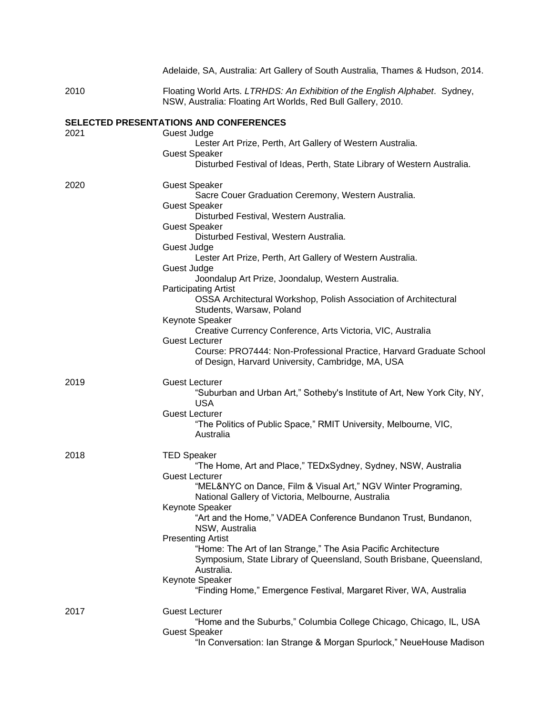|      | Adelaide, SA, Australia: Art Gallery of South Australia, Thames & Hudson, 2014.                                                             |
|------|---------------------------------------------------------------------------------------------------------------------------------------------|
| 2010 | Floating World Arts. LTRHDS: An Exhibition of the English Alphabet. Sydney,<br>NSW, Australia: Floating Art Worlds, Red Bull Gallery, 2010. |
|      | <b>SELECTED PRESENTATIONS AND CONFERENCES</b>                                                                                               |
| 2021 | Guest Judge                                                                                                                                 |
|      | Lester Art Prize, Perth, Art Gallery of Western Australia.                                                                                  |
|      | <b>Guest Speaker</b><br>Disturbed Festival of Ideas, Perth, State Library of Western Australia.                                             |
| 2020 | <b>Guest Speaker</b>                                                                                                                        |
|      | Sacre Couer Graduation Ceremony, Western Australia.                                                                                         |
|      | <b>Guest Speaker</b>                                                                                                                        |
|      | Disturbed Festival, Western Australia.                                                                                                      |
|      | <b>Guest Speaker</b><br>Disturbed Festival, Western Australia.                                                                              |
|      | Guest Judge                                                                                                                                 |
|      | Lester Art Prize, Perth, Art Gallery of Western Australia.                                                                                  |
|      | Guest Judge                                                                                                                                 |
|      | Joondalup Art Prize, Joondalup, Western Australia.                                                                                          |
|      | <b>Participating Artist</b>                                                                                                                 |
|      | OSSA Architectural Workshop, Polish Association of Architectural<br>Students, Warsaw, Poland                                                |
|      | Keynote Speaker                                                                                                                             |
|      | Creative Currency Conference, Arts Victoria, VIC, Australia                                                                                 |
|      | <b>Guest Lecturer</b>                                                                                                                       |
|      | Course: PRO7444: Non-Professional Practice, Harvard Graduate School<br>of Design, Harvard University, Cambridge, MA, USA                    |
| 2019 | <b>Guest Lecturer</b>                                                                                                                       |
|      | "Suburban and Urban Art," Sotheby's Institute of Art, New York City, NY,                                                                    |
|      | <b>USA</b>                                                                                                                                  |
|      | <b>Guest Lecturer</b>                                                                                                                       |
|      | "The Politics of Public Space," RMIT University, Melbourne, VIC,<br>Australia                                                               |
| 2018 | <b>TED Speaker</b>                                                                                                                          |
|      | "The Home, Art and Place," TEDxSydney, Sydney, NSW, Australia                                                                               |
|      | <b>Guest Lecturer</b>                                                                                                                       |
|      | "MEL&NYC on Dance, Film & Visual Art," NGV Winter Programing,<br>National Gallery of Victoria, Melbourne, Australia                         |
|      | Keynote Speaker                                                                                                                             |
|      | "Art and the Home," VADEA Conference Bundanon Trust, Bundanon,                                                                              |
|      | NSW, Australia                                                                                                                              |
|      | <b>Presenting Artist</b>                                                                                                                    |
|      | "Home: The Art of lan Strange," The Asia Pacific Architecture                                                                               |
|      | Symposium, State Library of Queensland, South Brisbane, Queensland,                                                                         |
|      | Australia.<br>Keynote Speaker                                                                                                               |
|      | "Finding Home," Emergence Festival, Margaret River, WA, Australia                                                                           |
| 2017 | <b>Guest Lecturer</b>                                                                                                                       |
|      | "Home and the Suburbs," Columbia College Chicago, Chicago, IL, USA                                                                          |
|      | <b>Guest Speaker</b>                                                                                                                        |
|      | "In Conversation: Ian Strange & Morgan Spurlock," NeueHouse Madison                                                                         |
|      |                                                                                                                                             |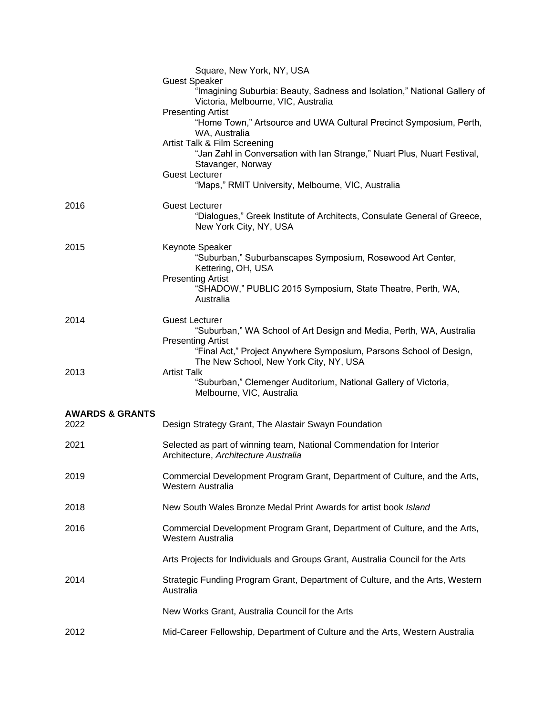|                                    | Square, New York, NY, USA<br><b>Guest Speaker</b><br>"Imagining Suburbia: Beauty, Sadness and Isolation," National Gallery of      |
|------------------------------------|------------------------------------------------------------------------------------------------------------------------------------|
|                                    | Victoria, Melbourne, VIC, Australia<br><b>Presenting Artist</b>                                                                    |
|                                    | "Home Town," Artsource and UWA Cultural Precinct Symposium, Perth,<br>WA, Australia                                                |
|                                    | Artist Talk & Film Screening<br>"Jan Zahl in Conversation with Ian Strange," Nuart Plus, Nuart Festival,<br>Stavanger, Norway      |
|                                    | <b>Guest Lecturer</b><br>"Maps," RMIT University, Melbourne, VIC, Australia                                                        |
| 2016                               | <b>Guest Lecturer</b><br>"Dialogues," Greek Institute of Architects, Consulate General of Greece,<br>New York City, NY, USA        |
| 2015                               | Keynote Speaker<br>"Suburban," Suburbanscapes Symposium, Rosewood Art Center,<br>Kettering, OH, USA<br><b>Presenting Artist</b>    |
|                                    | "SHADOW," PUBLIC 2015 Symposium, State Theatre, Perth, WA,<br>Australia                                                            |
| 2014                               | <b>Guest Lecturer</b><br>"Suburban," WA School of Art Design and Media, Perth, WA, Australia<br><b>Presenting Artist</b>           |
| 2013                               | "Final Act," Project Anywhere Symposium, Parsons School of Design,<br>The New School, New York City, NY, USA<br><b>Artist Talk</b> |
|                                    | "Suburban," Clemenger Auditorium, National Gallery of Victoria,<br>Melbourne, VIC, Australia                                       |
| <b>AWARDS &amp; GRANTS</b><br>2022 | Design Strategy Grant, The Alastair Swayn Foundation                                                                               |
| 2021                               | Selected as part of winning team, National Commendation for Interior<br>Architecture, Architecture Australia                       |
| 2019                               | Commercial Development Program Grant, Department of Culture, and the Arts,<br>Western Australia                                    |
| 2018                               | New South Wales Bronze Medal Print Awards for artist book Island                                                                   |
| 2016                               | Commercial Development Program Grant, Department of Culture, and the Arts,<br>Western Australia                                    |
|                                    | Arts Projects for Individuals and Groups Grant, Australia Council for the Arts                                                     |
| 2014                               | Strategic Funding Program Grant, Department of Culture, and the Arts, Western<br>Australia                                         |
|                                    | New Works Grant, Australia Council for the Arts                                                                                    |
| 2012                               | Mid-Career Fellowship, Department of Culture and the Arts, Western Australia                                                       |